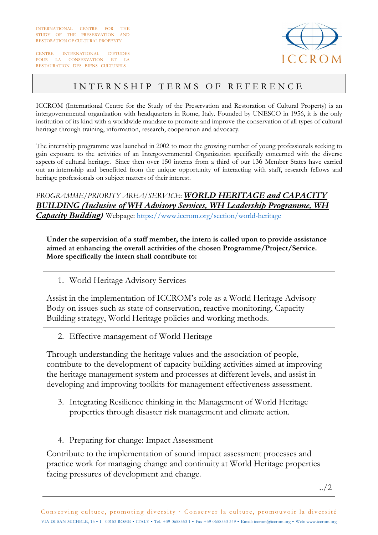CENTRE INTERNATIONAL D'ETUDES POUR LA CONSERVATION ET LA RESTAURATION DES BIENS CULTURELS



## INTERNSHIP TERMS OF REFERENCE

ICCROM (International Centre for the Study of the Preservation and Restoration of Cultural Property) is an intergovernmental organization with headquarters in Rome, Italy. Founded by UNESCO in 1956, it is the only institution of its kind with a worldwide mandate to promote and improve the conservation of all types of cultural heritage through training, information, research, cooperation and advocacy.

The internship programme was launched in 2002 to meet the growing number of young professionals seeking to gain exposure to the activities of an Intergovernmental Organization specifically concerned with the diverse aspects of cultural heritage. Since then over 150 interns from a third of our 136 Member States have carried out an internship and benefitted from the unique opportunity of interacting with staff, research fellows and heritage professionals on subject matters of their interest.

## *PROGRAMME/PRIORITY AREA/SERVICE*: *WORLD HERITAGE and CAPACITY BUILDING (Inclusive of WH Advisory Services, WH Leadership Programme, WH Capacity Building)* Webpage: https://www.iccrom.org/section/world-heritage

**Under the supervision of a staff member, the intern is called upon to provide assistance aimed at enhancing the overall activities of the chosen Programme/Project/Service. More specifically the intern shall contribute to:** 

1. World Heritage Advisory Services

Assist in the implementation of ICCROM's role as a World Heritage Advisory Body on issues such as state of conservation, reactive monitoring, Capacity Building strategy, World Heritage policies and working methods.

2. Effective management of World Heritage

Through understanding the heritage values and the association of people, contribute to the development of capacity building activities aimed at improving the heritage management system and processes at different levels, and assist in developing and improving toolkits for management effectiveness assessment.

- 3. Integrating Resilience thinking in the Management of World Heritage properties through disaster risk management and climate action.
- 4. Preparing for change: Impact Assessment

Contribute to the implementation of sound impact assessment processes and practice work for managing change and continuity at World Heritage properties facing pressures of development and change.